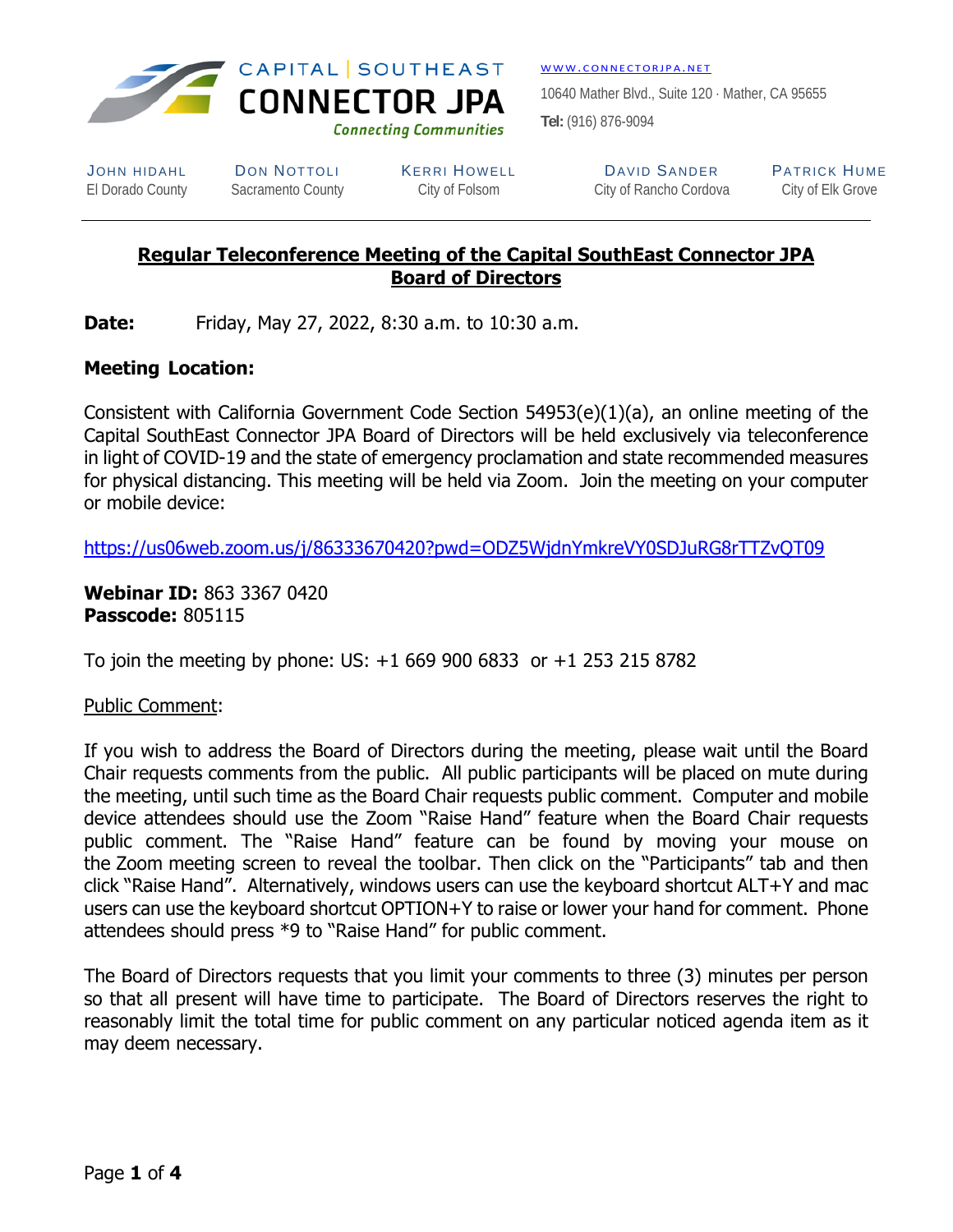

WWW. CONNECTORJPA.NET

10640 Mather Blvd., Suite 120 · Mather, CA 95655 **Tel:** (916) 876-9094

JOHN HIDAHL DON NOTTOLI KERRI HOWELL DAVID SANDER PATRICK HUME

El Dorado County Sacramento County City of Folsom City of Rancho Cordova City of Elk Grove

# **Regular Teleconference Meeting of the Capital SouthEast Connector JPA Board of Directors**

**Date:** Friday, May 27, 2022, 8:30 a.m. to 10:30 a.m.

# **Meeting Location:**

Consistent with California Government Code Section 54953(e)(1)(a), an online meeting of the Capital SouthEast Connector JPA Board of Directors will be held exclusively via teleconference in light of COVID-19 and the state of emergency proclamation and state recommended measures for physical distancing. This meeting will be held via Zoom. Join the meeting on your computer or mobile device:

https://us06web.zoom.us/j/86333670420?pwd=ODZ5WjdnYmkreVY0SDJuRG8rTTZvQT09

**Webinar ID:** 863 3367 0420 **Passcode:** 805115

To join the meeting by phone: US: +1 669 900 6833 or +1 253 215 8782

### Public Comment:

If you wish to address the Board of Directors during the meeting, please wait until the Board Chair requests comments from the public. All public participants will be placed on mute during the meeting, until such time as the Board Chair requests public comment. Computer and mobile device attendees should use the Zoom "Raise Hand" feature when the Board Chair requests public comment. The "Raise Hand" feature can be found by moving your mouse on the Zoom meeting screen to reveal the toolbar. Then click on the "Participants" tab and then click "Raise Hand". Alternatively, windows users can use the keyboard shortcut ALT+Y and mac users can use the keyboard shortcut OPTION+Y to raise or lower your hand for comment. Phone attendees should press \*9 to "Raise Hand" for public comment.

The Board of Directors requests that you limit your comments to three (3) minutes per person so that all present will have time to participate. The Board of Directors reserves the right to reasonably limit the total time for public comment on any particular noticed agenda item as it may deem necessary.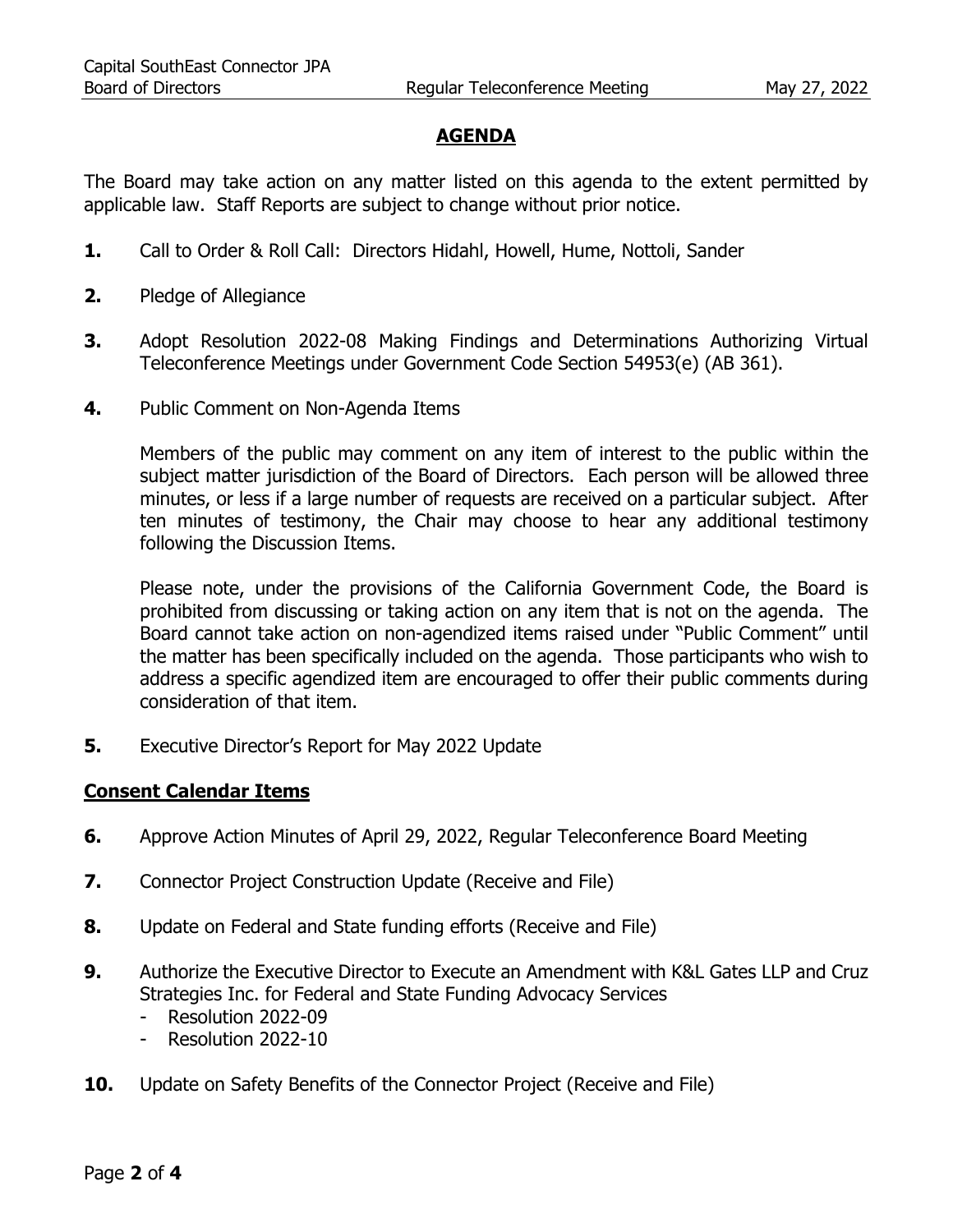# **AGENDA**

The Board may take action on any matter listed on this agenda to the extent permitted by applicable law. Staff Reports are subject to change without prior notice.

- **1.** Call to Order & Roll Call: Directors Hidahl, Howell, Hume, Nottoli, Sander
- **2.** Pledge of Allegiance
- **3.** Adopt Resolution 2022-08 Making Findings and Determinations Authorizing Virtual Teleconference Meetings under Government Code Section 54953(e) (AB 361).
- **4.** Public Comment on Non-Agenda Items

Members of the public may comment on any item of interest to the public within the subject matter jurisdiction of the Board of Directors. Each person will be allowed three minutes, or less if a large number of requests are received on a particular subject. After ten minutes of testimony, the Chair may choose to hear any additional testimony following the Discussion Items.

Please note, under the provisions of the California Government Code, the Board is prohibited from discussing or taking action on any item that is not on the agenda. The Board cannot take action on non-agendized items raised under "Public Comment" until the matter has been specifically included on the agenda. Those participants who wish to address a specific agendized item are encouraged to offer their public comments during consideration of that item.

**5.** Executive Director's Report for May 2022 Update

#### **Consent Calendar Items**

- **6.** Approve Action Minutes of April 29, 2022, Regular Teleconference Board Meeting
- **7.** Connector Project Construction Update (Receive and File)
- **8.** Update on Federal and State funding efforts (Receive and File)
- **9.** Authorize the Executive Director to Execute an Amendment with K&L Gates LLP and Cruz Strategies Inc. for Federal and State Funding Advocacy Services
	- Resolution 2022-09
	- Resolution 2022-10
- **10.** Update on Safety Benefits of the Connector Project (Receive and File)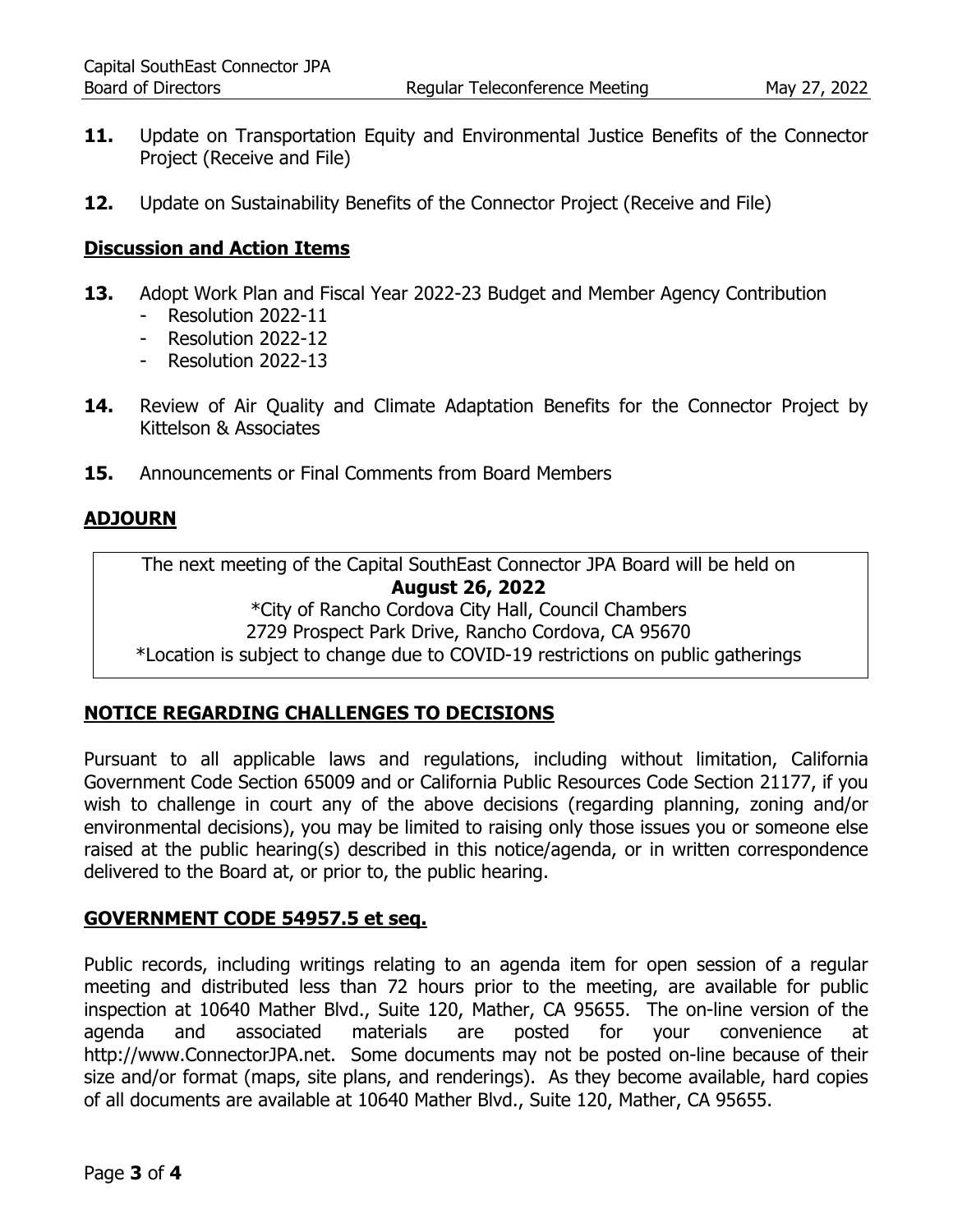- **11.** Update on Transportation Equity and Environmental Justice Benefits of the Connector Project (Receive and File)
- **12.** Update on Sustainability Benefits of the Connector Project (Receive and File)

#### **Discussion and Action Items**

- **13.** Adopt Work Plan and Fiscal Year 2022-23 Budget and Member Agency Contribution
	- Resolution 2022-11
	- Resolution 2022-12
	- Resolution 2022-13
- 14. Review of Air Quality and Climate Adaptation Benefits for the Connector Project by Kittelson & Associates
- **15.** Announcements or Final Comments from Board Members

#### **ADJOURN**

The next meeting of the Capital SouthEast Connector JPA Board will be held on **August 26, 2022**  \*City of Rancho Cordova City Hall, Council Chambers 2729 Prospect Park Drive, Rancho Cordova, CA 95670

\*Location is subject to change due to COVID-19 restrictions on public gatherings

#### **NOTICE REGARDING CHALLENGES TO DECISIONS**

Pursuant to all applicable laws and regulations, including without limitation, California Government Code Section 65009 and or California Public Resources Code Section 21177, if you wish to challenge in court any of the above decisions (regarding planning, zoning and/or environmental decisions), you may be limited to raising only those issues you or someone else raised at the public hearing(s) described in this notice/agenda, or in written correspondence delivered to the Board at, or prior to, the public hearing.

#### **GOVERNMENT CODE 54957.5 et seq.**

Public records, including writings relating to an agenda item for open session of a regular meeting and distributed less than 72 hours prior to the meeting, are available for public inspection at 10640 Mather Blvd., Suite 120, Mather, CA 95655. The on-line version of the agenda and associated materials are posted for your convenience at http://www.ConnectorJPA.net. Some documents may not be posted on-line because of their size and/or format (maps, site plans, and renderings). As they become available, hard copies of all documents are available at 10640 Mather Blvd., Suite 120, Mather, CA 95655.